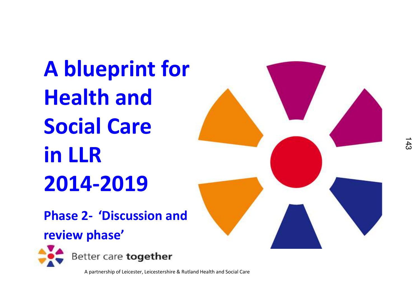**A blueprint for Health and Social Care in LLR2014-2019**



**Phase 2- 'Discussion and** 

#### **review phase'**



Better care together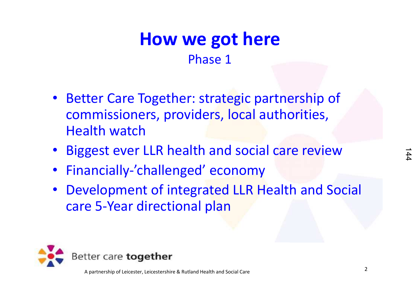#### **How we got here**Phase 1

- Better Care Together: strategic partnership of commissioners, providers, local authorities, Health watch
- •Biggest ever LLR health and social care review
- •Financially-'challenged' economy
- • Development of integrated LLR Health and Social care 5-Year directional plan

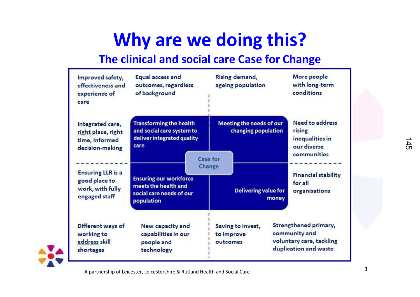### **Why are we doing this?**

#### **The clinical and social care Case for Change**

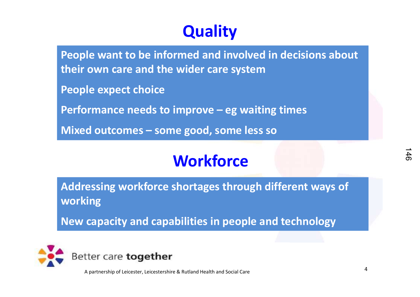#### **Quality**

**People want to be informed and involved in decisions about their own care and the wider care system**

**People expect choice**

**Performance needs to improve – eg waiting times**

**Mixed outcomes – some good, some less so**

#### **Workforce**

**Addressing workforce shortages through different ways of working**

**New capacity and capabilities in people and technology**

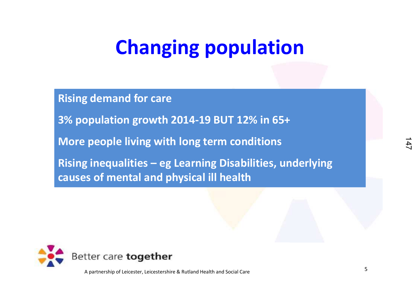# **Changing population**

**Rising demand for care3% population growth 2014-19 BUT 12% in 65+More people living with long term conditionsRising inequalities – eg Learning Disabilities, underlying causes of mental and physical ill health**

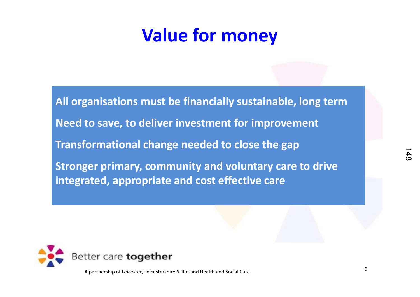#### **Value for money**

**All organisations must be financially sustainable, long termNeed to save, to deliver investment for improvementTransformational change needed to close the gapStronger primary, community and voluntary care to drive integrated, appropriate and cost effective care**

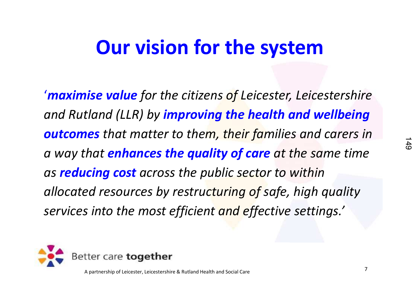### **Our vision for the system**

'*maximise value for the citizens of Leicester, Leicestershire and Rutland (LLR) by improving the health and wellbeing outcomes that matter to them, their families and carers in a way that enhances the quality of care at the same time as reducing cost across the public sector to within allocated resources by restructuring of safe, high quality services into the most efficient and effective settings.'*

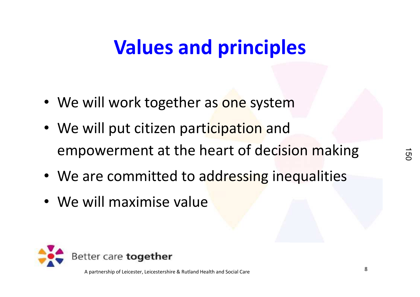# **Values and principles**

- We will work together as <mark>one</mark> system
- We will put citizen participation and empowerment at the heart of decision making
- We are committed to addressing inequalities
- We will maximise value

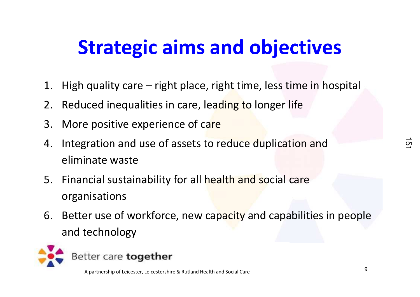# **Strategic aims and objectives**

- 1. High quality care right place, right time, less time in hospital
- 2. Reduced inequalities in care, leading to longer life
- 3. More positive experience of care
- 4. Integration and use of assets to reduce duplication and eliminate waste
- 5. Financial sustainability for all health and social care organisations
- 6. Better use of workforce, new capacity and capabilities in people and technology

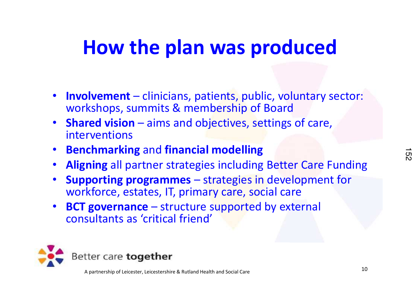### **How the plan was produced**

- **Involvement** clinicians, patients, public, voluntary sector: workshops, summits & membership of Board
- $\bullet$  **Shared vision** – aims and objectives, settings of care, interventions
- •**Benchmarking** and **financial modelling**
- •**Aligning** all partner strategies including Better Care Funding
- • **Supporting programmes** – strategies in development for workforce, estates, IT, primary care, social care
- **BCT governance**  structure supported by external  $\bullet$ consultants as 'critical friend'

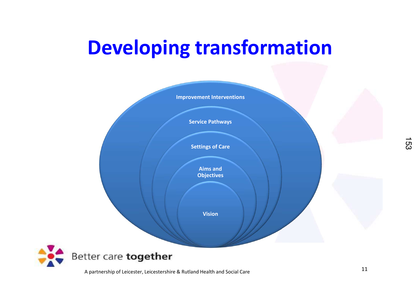# **Developing transformation**

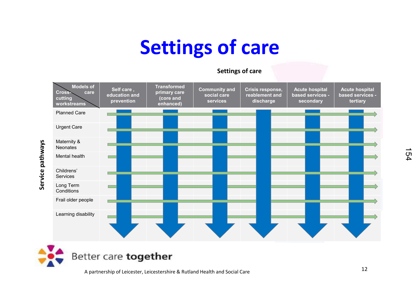# **Settings of care**

#### **Settings of care**



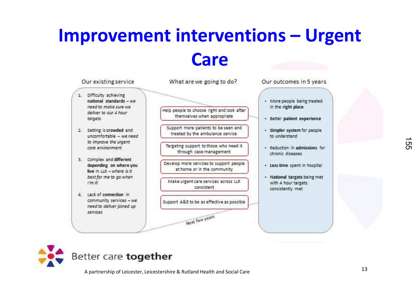#### **Improvement interventions – Urgent Care**



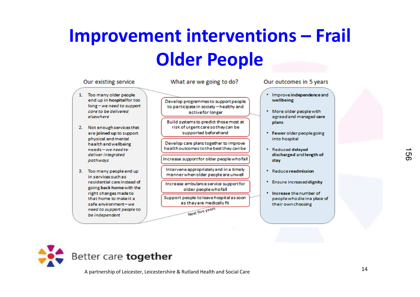### **Improvement interventions – Frail Older People**

#### Our existing service What are we going to do? Our outcomes in 5 years 1. Too many older people end up in hospital for too wellbeing Develop programmes to support people long-we need to support to participate in society - healthy and care to be delivered active for longer elsewhere Build systems to predict those most at plans risk of urgent care so they can be 2. Not enough services that supported beforehand are joined up to support physical and mental into hospital Develop care plans together to improve health and wellbeing health outcomes to the best they can be needs-we need to · Reduced delayed deliver integrated Increase support for older people who fall pathways stav Intervene appropriately and in a timely 3. Too many people end up · Reduce readmission manner when older people are unwell in services such as residential care instead of Increase ambulance service support for going back home with the older people who fall . Increase the number of right changes made to Support people to leave hospital as soon that home to make it a as they are medically fit safe environment-we their own choosing Next five years need to support people to

- Improve independence and
- More older people with agreed and managed care
- \* Fewer older people going
- discharged and length of
- Ensure increased dignity
- people who die in a place of



be independent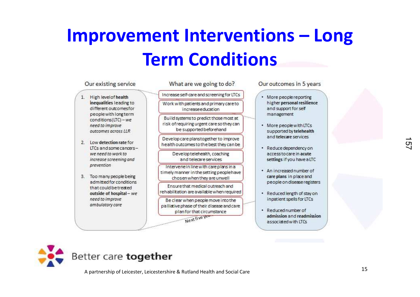### **Improvement Interventions – Long Term Conditions**

#### Our existing service

- 1. High level of health inequalities leading to different outcomesfor people with long term conditions(LTC) - we need to improve outcomes across LLR
- 2 Low detection rate for ITCs and some cancerswe need to work to increase screening and prevention
- 3. Too many people being admitted for conditions. that could be treated outside of hospital - we need to improve ambulatory care

What are we going to do?

Increase self-care and screening for LTCs Work with patients and primary care to increaseeduration

Build systems to predict those most at risk of requiring urgent care so they can be supported beforehand

Develop care planstogether to improve health outcomes to the best they can be

> Developtelehealth, coaching and telecare services

Intervenein line with care plans in a timely manner in the setting peoplehave chosen when they are unwell

Ensure that medical outreach and rehabilitation are available when required

Be clear when people move into the palliative phase of their disease and care plan for that circumstance Next five year

Our outcomes in 5 years

- · More people reporting higher personal resilience and support for self management
- More people with LTCs supported by telehealth and telecare services.
- · Reduce dependency on access to care in acute settings if you have a LTC
- . An increased number of care plans in place and people on disease registers
- · Reduced length of stay on inpatient spells for LTCs
- · Reduced number of admission and readmission associated with LTCs

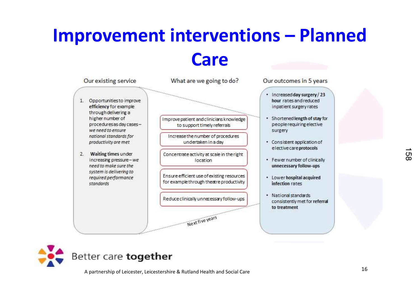#### **Improvement interventions – Planned Care**



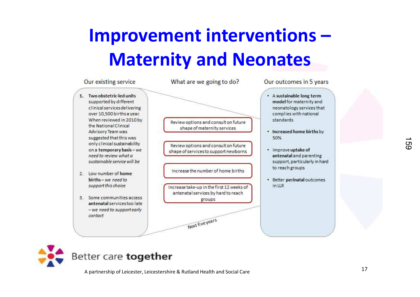### **Improvement interventions –Maternity and Neonates**



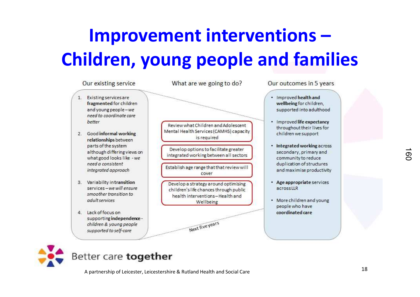# **Improvement interventions –Children, young people and families**





#### Better care together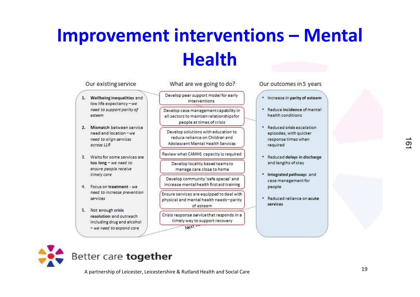### **Improvement interventions – Mental Health**

| Develop peer support model for early<br>interventions<br>Develop case management capability in<br>all sectors to maintain relationships for<br>people at times of crisis<br>Develop solutions with education to<br>reduce reliance on Children and |         | . Increase in parity of esteem<br>. Reduce incidence of mental<br>health conditions<br>Reduced crisis escalation<br>episodes, with quicker |                                                                                         |
|----------------------------------------------------------------------------------------------------------------------------------------------------------------------------------------------------------------------------------------------------|---------|--------------------------------------------------------------------------------------------------------------------------------------------|-----------------------------------------------------------------------------------------|
|                                                                                                                                                                                                                                                    |         |                                                                                                                                            |                                                                                         |
|                                                                                                                                                                                                                                                    |         |                                                                                                                                            |                                                                                         |
| Adolescent Mental Health Services                                                                                                                                                                                                                  |         | response times when<br>required                                                                                                            |                                                                                         |
| Review what CAMHS capacity is required                                                                                                                                                                                                             |         |                                                                                                                                            |                                                                                         |
| Develop locality based teams to<br>manage care close to home                                                                                                                                                                                       |         | and lengths of stay                                                                                                                        |                                                                                         |
| Develop community 'safe spaces' and<br>increase mental health first aid training                                                                                                                                                                   |         | case management for<br>people                                                                                                              |                                                                                         |
| Ensure services are equipped to deal with<br>physical and mental health needs-parity<br>of esteem                                                                                                                                                  |         | services                                                                                                                                   |                                                                                         |
| Crisis response service that responds in a<br>timely way to support recovery                                                                                                                                                                       |         |                                                                                                                                            |                                                                                         |
|                                                                                                                                                                                                                                                    | Next in |                                                                                                                                            | * Reduced delays in discharge<br>Integrated pathways and<br>· Reduced reliance on acute |



#### Better care together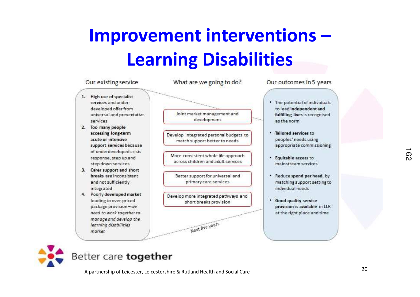### **Improvement interventions –Learning Disabilities**



#### Better care together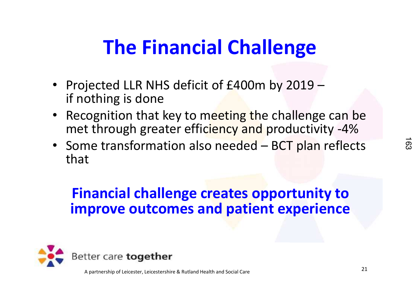# **The Financial Challenge**

- Projected LLR NHS deficit of £400m by 2019 –if nothing is done
- Recognition that key to meeting the challenge can be met through greater efficiency and productivity -4%
- Some transformation also needed BCT plan reflects that

#### **Financial challenge creates opportunity to improve outcomes and patient experience**

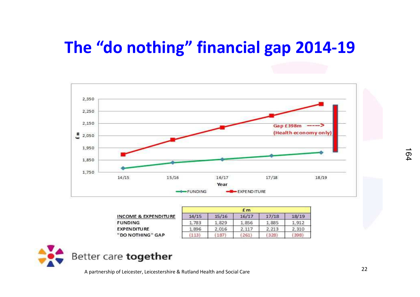#### **The "do nothing" financial gap 2014-19**



|                                 |       |       | f <sub>m</sub> |       |       |
|---------------------------------|-------|-------|----------------|-------|-------|
| <b>INCOME &amp; EXPENDITURE</b> | 14/15 | 15/16 | 16/17          | 17/18 | 18/19 |
| <b>FUNDING</b>                  | 1.783 | 1.829 | 1.856          | 1.885 | 1.912 |
| <b>EXPENDITURE</b>              | 1.896 | 2.016 | 2.117          | 2.213 | 2.310 |
| "DO NOTHING" GAP                | 113   | 187   | 261            | 3281  | 398   |

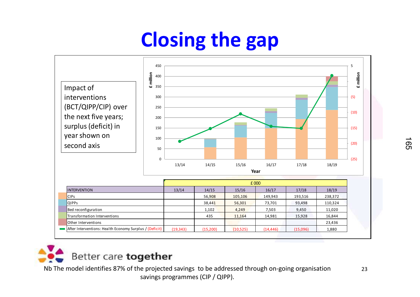# **Closing the gap**





Nb The model identifies 87% of the projected savings to be addressed through on-going organisation  $23$ savings programmes (CIP / QIPP).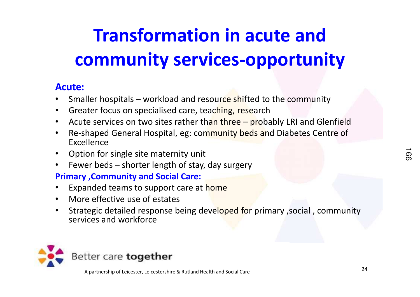# **Transformation in acute and community services-opportunity**

#### **Acute:**

- •Smaller hospitals – workload and resource shifted to the community
- •Greater focus on specialised care, teaching, research
- Acute services on two sites rather th<mark>an three pro</mark>bably LRI and Glenfield •
- Re-shaped General Hospital, eg: community beds and Diabetes Centre of •Excellence
- •Option for single site maternity unit
- •Fewer beds – shorter length of stay, day surgery

#### **Primary ,Community and Social Care:**

- •Expanded teams to support care at home
- •More effective use of estates
- Strategic detailed response being developed for primary , social, community •services and workforce

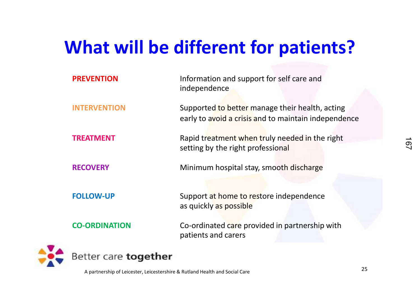#### **What will be different for patients?**

| <b>PREVENTION</b>           | Information and support for self care and<br>independence                                               |  |  |  |  |
|-----------------------------|---------------------------------------------------------------------------------------------------------|--|--|--|--|
| <b>INTERVENTION</b>         | Supported to better manage their health, acting<br>early to avoid a crisis and to maintain independence |  |  |  |  |
| <b>TREATMENT</b>            | Rapid treatment when truly needed in the right                                                          |  |  |  |  |
|                             | setting by the right professional                                                                       |  |  |  |  |
| <b>RECOVERY</b>             | Minimum hospital stay, smooth discharge                                                                 |  |  |  |  |
|                             |                                                                                                         |  |  |  |  |
| <b>FOLLOW-UP</b>            | Support at home to restore independence                                                                 |  |  |  |  |
|                             | as quickly as possible                                                                                  |  |  |  |  |
| <b>CO-ORDINATION</b>        | Co-ordinated care provided in partnership with<br>patients and carers                                   |  |  |  |  |
| Better care <b>together</b> |                                                                                                         |  |  |  |  |